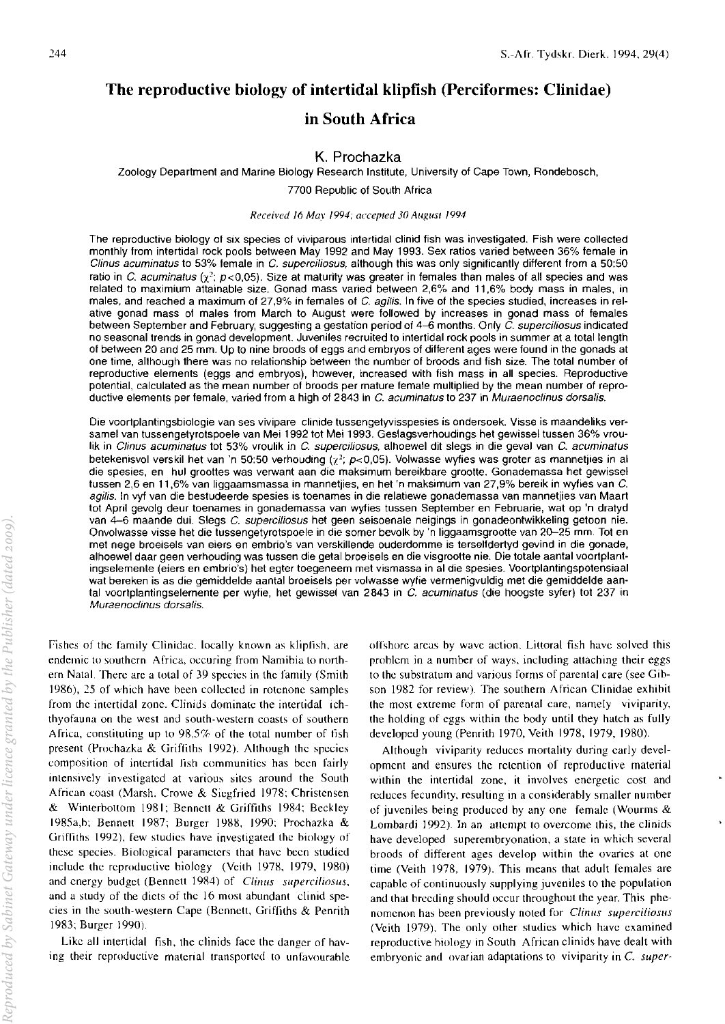# The reproductive biology of intertidal klipfish (Perciformes: Clinidae)

## in South Africa

## K. Prochazka

Zoology Deparlmenl and Marine Biology Research Institute, University of Cape Town, Rondebosch,

7700 Republic of South Africa

#### *Received* 16 *Mav 1994; accepted 30 August /994*

The reproductive biology of six species of viviparous intertidal clinid fish was investigated. Fish were collected monthly from intertidal rock pools between May 1992 and May 1993. Sex ratios varied between 36% female in Clinus acuminatus to 53% female in C. supercifiosus, although this was only significantly different from a 50:50 ratio in C. *acuminatus* ( $\chi^2$ ;  $p < 0.05$ ). Size at maturity was greater in females than males of all species and was related to maximium attainable size. Gonad mass varied between 2,6% and 11,6% body mass in males, in males, and reached a maximum of 27,9% in females of C. agilis. In five of the species studied, increases in relative gonad mass of males from March to August were followed by increases in gonad mass of females between September and February, suggesting a gestation period of  $4-\acute{6}$  months. Only  $\check{C}$ , supercifiosus indicated no seasonal trends in gonad development. Juveniles recruited to intertidal rock pools in summer at a total length of between 20 and 25 mm. Up to nine broods of eggs and embryos of different ages were found in the gonads at one time, although there was no relationship between the number of broods and fish size. The total number of reproductive elements (eggs and embryos), however, increased with fish mass in all species. Reproductive potential, calculated as the mean number of broods per mature female multiplied by the mean number of reproductive elements per female, varied from a high of 2843 in C. acuminatus to 237 in Muraenoclinus dorsalis.

Die voortplantingsbiologie van ses vivipare clinide tussengetyvisspesies is ondersoek. Visse is maandeliks versamel van tussengetyrotspoele van Mei 1992 tot Mei 1993. Geslagsverhoudings het gewissel tussen 36% vroulik in Clinus acuminatus tot 53% vroulik in C. superciliosus, alhoewel dit slegs in die geval van C. acuminatus betekenisvol verskil het van 'n 50:50 verhouding ( $\chi^2$ ; p<0,05). Volwasse wyfies was groter as mannetjies in al die spesies, en hul groottes was verwant aan die maksimum bereikbare grootte. Gonademassa het gewissel tussen 2,6 en 11,6% van liggaamsmassa in mannetjies, en het 'n maksimum van 27,9% bereik in wyfies van C. agilis. In vyf van die bestudeerde spesies is toenames in die relatiewe gonademassa van mannetjies van Maart tot April gevolg deur toenames in gonademassa van wyfies tussen September en Februarie, wat op 'n dratyd van 4-6 maande dui. Slegs C. superciliosus het geen seisoenale neigings in gonadeontwikkeling getoon nie. Onvolwasse visse het die tussengetyrotspoele in die somer bevolk by 'n liggaamsgrootte van 20-25 mm. Tot en met nege broeisels van eiers en embrio's van verskillende ouderdomme is terselfdertyd gevind in die gonade, alhoewel daar geen verhouding was tussen die getal broeisels en die visgrootte nie. Die totale aantal voortplantingselemente (eiers en embrio's) het egter toegeneem met vismassa in al die spesies. Voortplantingspotensiaal wat bereken is as die gemiddelde aantal broeisels per volwasse wylie vermenigvuldig met die gemiddelde aantal voortplantingselemente per wyfie, het gewissel van 2843 in C. acuminatus (die hoogste syfer) tot 237 in Muraenoclinus dorsalis.

Fishes of the family Clinidae. locally known as klipfish, are endemic to southern Africa. occuring from Namihia to northern Natal. There are a total of 39 species in the family (Smith 1986),25 of which have been collected in rotenone samples from the intertidal zone. Clinids dominate the intertidal ichthyofauna on the west and south-western coasts of southern Africa, constituting up to 98,5% of the total number of fish present (Prochazka & Griffiths 1992). Although the species composition of intertidal fish communities has been fairly intensively investigated at various sites around the South African coast (Marsh, Crowe & Siegfried 1978; Christensen & Winterbottom 1981; Bennett & Griffiths 1984; Beckley 1985a,h; Bennett 1987; Burger 1988, 1990; Prochazka & Griffiths 1992), few studies have investigated the hiology of these species. Biological parameters that have been studied include the reproductive biology (Veith 1978, 1979, 1980) and energy budget (Bennett 1984) of *Clinus superciliosus*, and a study of the diets of the 16 most ahundant clinid species in the south-western Cape (Bennett, Griffiths & Penrith 1983; Burger 1990).

Like all intertidal fish, the clinids face the danger of having their reproductive material transported to unfavourable offshore areas by wave action. Littoral fish have solved this prohlem in a number of ways, including attaching their eggs to the substratum and various forms of parental care (see Gihson 1982 for review). The southern African Clinidae exhihit the most extreme form of parental care, namely viviparity, the holding of cggs within the hody until they hatch as fully developed young (Penrith 1970, Veith 1978, 1979, 1980).

Although viviparity reduces mortality during early development and ensures the retention of reproductive material within the intertidal zone, it involves energetic cost and reduces fecundity, resulting in a considerably smaller number of juveniles being produced hy anyone female (Wourms & Lombardi 1992). In an attempt to overcome this, the clinids have developed superembryonation, a state in which several broods of different ages develop within the ovaries at one time (Veith 1978, 1979). This means that adult females are capable of continuously supplying juveniles to the population and that breeding should occur throughout the year. This phenomenon has been previously noted for *Clinus superciliosus* (Veith 1979). The only other studies which have examined reproductive hiology in South African clinids have dealt with embryonic and ovarian adaptations to viviparity in C. super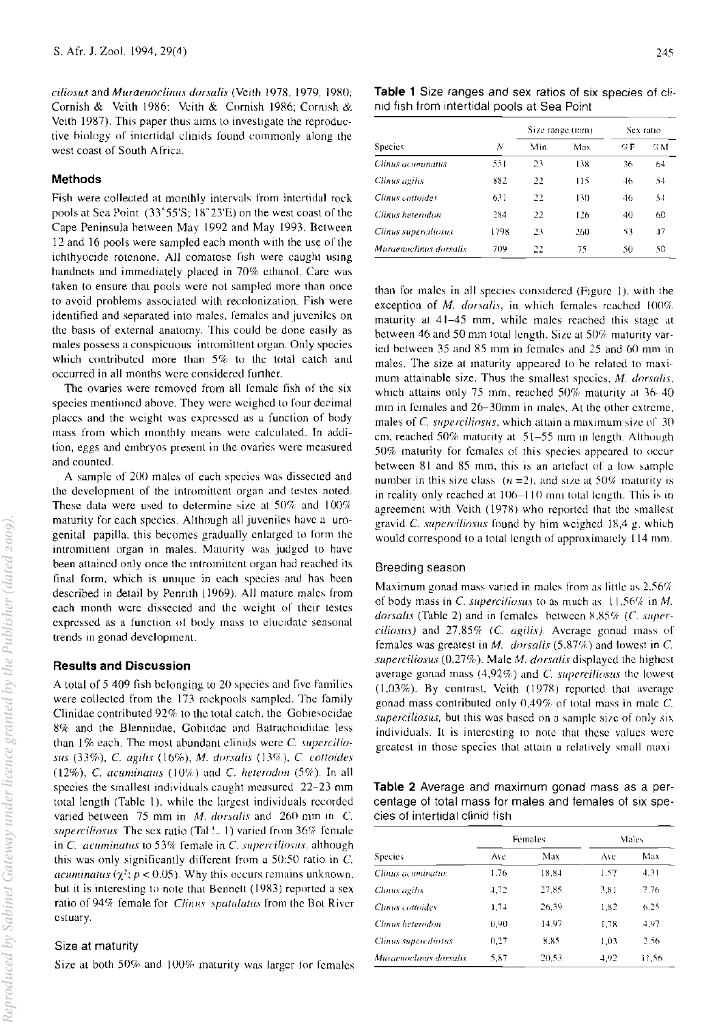*cilios{{s* and *Muraenor/inus dorsalis* (Veith 1978, 1979, 19XO; Cornish & Veith 1986: Veith & Cornish 1986: Cornish &. Veith 1987). This paper thus aims to investigate the reproductive hiolngy of intertidal clinids found commonly along the west coast of South Africa.

## Methods

Fish were collected at monthly intervals from intertidal rock pools at Sea Point  $(33°55'S; 18°23'E)$  on the west coast of the Cape Peninsula between May 1992 and May 1993. Between 12 and 16 pools were sampled each month with the use of the ichthyocide rotenone. All comatose fish were caught using handnets and immediately placed in 70% ethanol. Care was taken to ensure that pools were not sampled more than once to avoid problems associated with recolonization. Fish were identified and separated into males. females and juveniles on the basis of external anatomy. This could be done easily as males possess a conspicuous intromittent organ. Only species which contributed more than 5% to the total catch and occurred in all months were considered further.

The ovaries were removed from all female fish of the six species mentioned ahove. They were weighed to four decimal places and the weight was expressed as a function of body mass from which monthly means were calculated. In addition, eggs and embryos present in the ovaries were measured and counted.

A sample of 200 males of each species was dissected and the development of the intromittent organ and testes noted. These data were used to determine size at  $50\%$  and  $100\%$ maturity for each species. Although all juveniles have a urogenital papilla, this becomes gradually enlarged to form the intromittent organ in males. Maturity was judged to have been attained only once the intromittent organ had reached its final form, which is unique in each species and has been described in detail by Pennth (1969). All mature males from each month were dissected and the weight of their testes expressed as a function of body mass to elucidate seasonal trends in gonad development.

## Results and Discussion

A total of 5409 fish belonging to 20 species and live families were collected from the 173 rockpools sampled. The family Clinidae contributed  $92\%$  to the total catch, the Gobiesocidae 8% and the Blenniidae, Gobiidae and Batrachoididae less than 1% each. The most abundant clinids were *C. supercilio*sus (33%). c. agilis (16%). M. *dorsalis* (DCl), C. *co!!oides*  (12%), C. *acuminatus* (10%) and C. *heterodon* (5%). In all species the smallest individuals caught measured 22-23 mm total length (Table I), while the largest individuals recorded varied between 75 mm in *M. dorsalis* and 260 mm in *C. superciliosus* The sex ratio (Tat: 1) varied from 36% female in C. acuminatus to 53% female in C. superciliosus, although this was only significantly different from a 50:50 ratio in C. *acuminatus* ( $\chi^2$ ;  $p < 0.05$ ). Why this occurs remains unknown. but it is interesting to note that Bennett (1983) reported a sex ratio of 94% female for *Clinus spatulatus* from the Bot River estuary.

## Size at maturity

Size at both 50% and 100% maturity was larger for females

| ٠ | I |  |
|---|---|--|
|   |   |  |

Table 1 Size ranges and sex ratios of six species of clinid fish from intertidal pools at Sea Point

|                        |      | Size range (mm) |     | Sex ratio |     |
|------------------------|------|-----------------|-----|-----------|-----|
| <b>Species</b>         | Ν    | Min             | Max | 94 F      | % м |
| Clinus acuminatus      | 551  | 23              | 138 | 36        | 64  |
| Clinus agilis          | 882  | 22              | 115 | $-46$     | 54  |
| Clinus cottoides       | 631  | 22              | 130 | 46        | 54  |
| Clinus heterodon       | 284  | 22              | 126 | 40        | 60  |
| Clinus superciliosus   | 1798 | 23              | 260 | 53        | 47  |
| Muraenoclinus dorsalis | 709  | 22              | 75  | 50        | 50  |

than for males in all species considered (Figure 1), with the exception of *M. dorsalis*, in which females reached 100% maturity at 41-45 mm, while males reached this stage at between 46 and 50 mm total length. Size at 50% maturity varied between 35 and X5 mm in females and 25 and 60 mm in males. The size at maturity appeared to be related to maximum attainable size. Thus the smallest species. M. *dorsalis.*  which attains only 75 mm, reached  $50\%$  maturity at 36-40 mm in females and 26-30mm in males. At the other extreme. males of C. superciliosus, which attain a maximum size of  $30$ cm, reached  $50\%$  maturity at  $51-55$  mm in length. Although 50% maturity for females of this species appeared to occur between 81 and 85 mm, this is an artefact of a low sample number in this size class  $(n = 2)$ , and size at 50% maturity is in reality only reached at 106–110 mm total length. This is in agreement with Veith (1978) who reported that the smallest gravid C. superciliosus found by him weighed  $18.4$  g. which would correspond to a total length of approximately 114 mm.

#### Breeding season

Maximum gonad mass varied in males from as little as  $2.56%$ of body mass in C. *superciliosus* to as much as 11,56% in M. dorsalis (Table 2) and in females hetween  $8.85\%$  (C. super*ciliosus)* and 27,85% (C. *agilis)*. Average gonad mass of females was greatest in  $M$ . *dorsalis*  $(5.87%)$  and lowest in C. *superciliosus* (0,27%). Male *M. dorsalis* displayed the highest average gonad mass  $(4.92\%)$  and C. superciliosus the lowest  $(1,03%)$ . By contrast, Veith  $(1978)$  reported that average gonad mass contributed only  $0.49\%$  of total mass in male C. *superciliosus*, but this was based on a sample size of only six individuals. It is interesting to note that these values were greatest in those species that attain a relatively small maxi-

Table 2 Average and maximum gonad mass as a percentage of total mass for males and females of six species of intertidal clinid fish

|                        |      | Females | Males |       |  |
|------------------------|------|---------|-------|-------|--|
| <b>Species</b>         | Ave  | Max     | Ave   | Max   |  |
| Clinus acuminatus      | 1.76 | 18.84   | 1.57  | 4.31  |  |
| Clinus agilis          | 4.72 | 27.85   | 3.81  | 7.76  |  |
| Clinus cortoides       | 1.74 | 26.39   | 1.82  | 6.25  |  |
| Clinus heterodon       | 0.90 | 14.97   | 1.78  | 4,97  |  |
| Clinus supercitiosus   | 0.27 | 8.85    | 1.03  | 2.56  |  |
| Muraenoclinus dorsalis | 5.87 | 20.53   | 4,92  | 11.56 |  |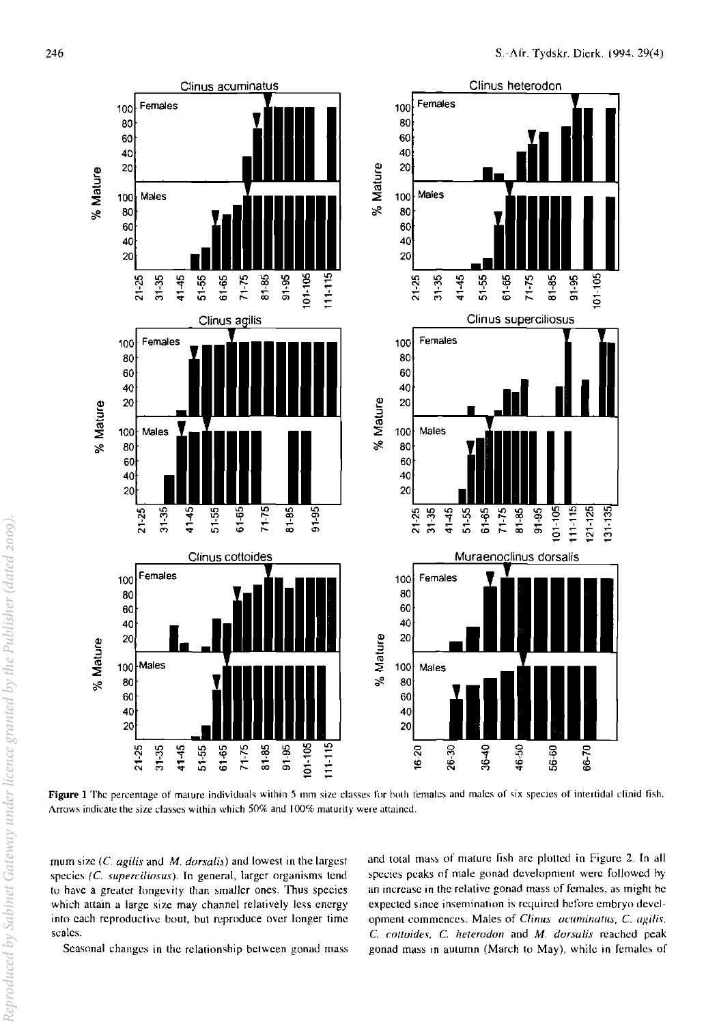

Figure 1 The percentage of mature individuals within 5 mm size classes for both females and males of six species of intertidal clinid fish. Arrows indicate the size classes within which 50% and 100% maturity were attained.

mum size (C. agilis and M. dorsalis) and lowest in the largest species (C. superciliosus). In general, larger organisms tend to have a greater longevity than smaller ones. Thus species which attain a large size may channel relatively less energy into each reproductive bout, but reproduce over longer time scales.

Seasonal changes in the relationship between gonad mass

and total mass of mature fish are plotted in Figure 2. In all species peaks of male gonad development were followed by an increase in the relative gonad mass of females, as might be expected since insemination is required before embryo development commences. Males of Clinus acuminatus, C. agilis, C. cottoides, C. heterodon and M. dorsalis reached peak gonad mass in autumn (March to May), while in females of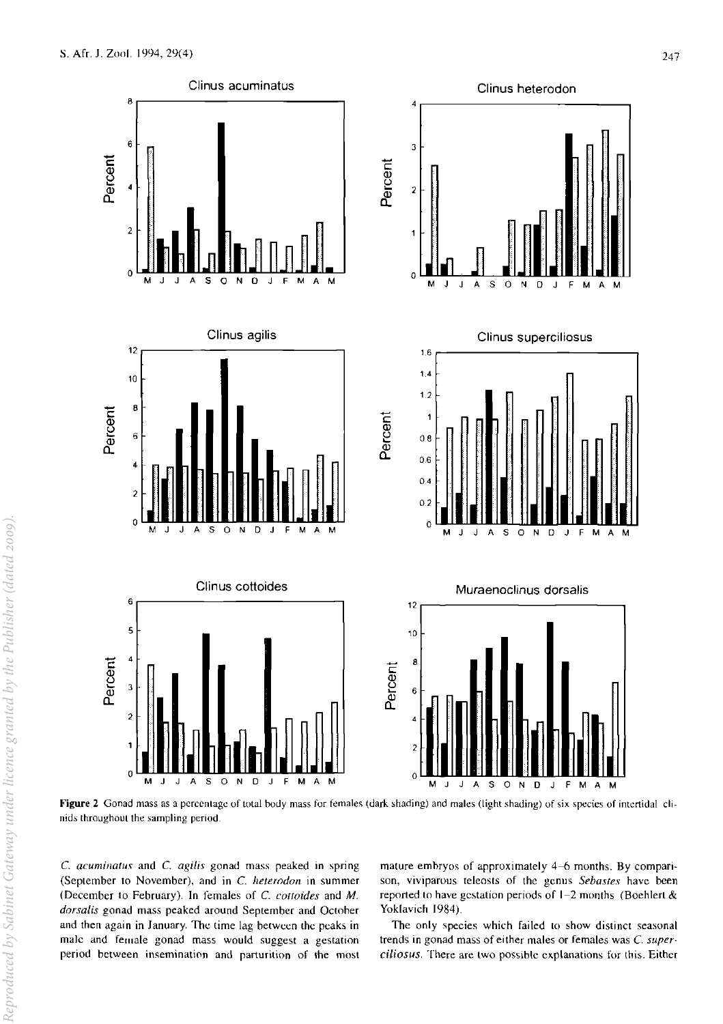

Figure 2 Gonad mass as a percentage of total body mass for females (dark shading) and males (light shading) of six species of intertidal clinids lhroughout the sampling period.

C. *acuminatus* and C. *agilis* gonad mass peaked in spring (September to November), and in C. *hetemdon* in summer (December to February). In females of C *cottoides* and *M. dorsalis* gonad mass peaked around September and Octoher and then again in January. The time lag between the peaks in male and female gonad mass would suggest a gestation period between insemination and parturition of the most

mature emhryos of approximately 4-6 months. By comparison, viviparous teleosts of the genus *Sebastes* have been reported to have gestation periods of  $1-2$  months (Boehlert & Yoklavich 1984).

The only species which failed to show distinct seasonal trends in gonad mass of either males or females was C. *superciUosus,* There are two possible explanations for this. Either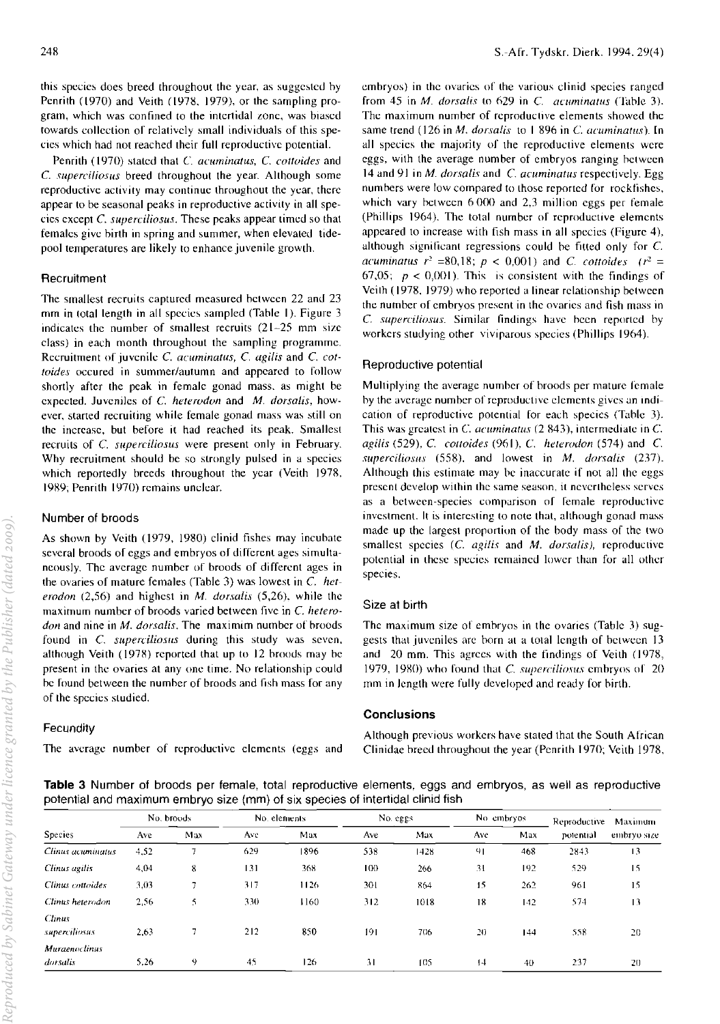this species does breed throughout the year, as suggested by Penrith (1970) and Veith (1978, 1979), or the sampling program, which was confined to the intertidal Lone, was biased towards collection of relatively small individuals of this species which had not reached their full reproductive potential.

Penrilh (1970) slaled that C. *acuminatus,* C. *cotloides* and C. *superciliosus* breed throughout the year. Although some reproductive activity may continue throughout the year, there appear to be seasonal peaks in reproductive activity in all species except C. *superciliosus.* These peaks appear timed so that females give hirth in spring and summer, when elevated tidepool temperatures are likely to enhance juvenile growth.

#### **Recruitment**

The smallest recruits captured measured hetween 22 and 23 mm in total length in all species sampled (Tahle I). Figure 3 indicates the number of smallest recruits (21~25 mm size class) in each month throughout the sampling programme. Recruitment of juvenile *C. acuminatus, C. agilis* and *C. cottaides* occured in summer/autumn and appeared to follow shortly after the peak in female gonad mass. as might be expected. Juveniles of C. *heterudun* and M. *dorsalis,* however, started recruiting while female gonad mass was still on the increase, but before it had reached its peak. Smallest recruits of C. *superciliosus* were present only in February. Why recruitment should be so strongly pulsed in a species which reportedly breeds throughout the year (Veith 1978. 1989; Penrith 1970) remains unclear.

## Number of broods

As shown by Veith (1979, 1980) clinid fishes may incubate several broods of eggs and embryos of different ages simultaneously. The average number of broods of different ages in the ovaries of mature females (Table 3) was lowest in C. *heterodon* (2,56) and highest in *M. dorsalis* (5,26), while the maximum number of broods varied between five in C. *heterodon* and nine in *M. dorsalis*. The maximim number of broods found in C. *superciliosus* during this study was seven. although Veith (1978) reported that up to 12 hroods may be present in the ovaries at anyone time. No relationship could be found between the number of broods and fish mass for any of the species studied.

#### **Fecundity**

The average number of reproductive elements (eggs and

embryos) in the ovaries of the various clinid species ranged from 45 in *M. dorsalis* to 629 in *C. acuminatus* (Table 3). The maximum number of reproductive elements showed the same trend (126 in M. *dorsalis* to I 896 in C. *acuminatus).* [n all species the majority of the reproductive elements were eggs, with the average number of embryos ranging between 14 and 91 in *M. dorsalis* and *C. acuminatus* respectively. Egg numbers were low compared to those reported for rockfishes. which vary between  $6000$  and 2,3 million eggs per female (Phillips 1964). The total number of reproductive elements appeared to increase with fish mass in all species (Figure 4), although significant regressions could be fitted only for  $C$ . *acuminatus*  $r^2 = 80,18$ ;  $p < 0,001$ ) and *C. cottoides*  $(r^2 =$  $67,05$ ;  $p < 0,001$ ). This is consistent with the findings of Veith (1978,1979) who reported a linear relationship hctween the number of embryos present in the ovaries and fish mass in C. *supercifiosus*. Similar findings have been reported by workers studying other viviparous species (Phillips 1964).

#### Reproductive potential

Multiplying the average number of broods per mature fcmale by the average number of reproductive elements gives an indication of reproductive potential for each species (Table 3). This was greatest in *C. acuminatus* (2 843), intermediate in *C*. *agilis* (529). C. *COl/oides* (961). C. *heterodon* (574) and C. *sllpercilioslH* (558). and lowest in M. *dorsalis* (237). Although this estimate may be inaccurate if not all the eggs present develop within the same season, it nevertheless serves as a between-species comparison of Icmale reproductive investment. It is interesting to note that, although gonad mass made up the largest proportion of the body mass of the two smallest species (c. *agilis* and M. *dorsalis),* reproductive potential in these species remained lower than for all other species.

#### Size at birth

The maximum size of embryos in the ovaries (Table 3) suggests that juveniles are born at a total length of between 13 and 20 mm. This agrees with the tindings of Veith (1978, 1979, 1980) who found that *C. superciliosus* embryos of 20 mm in length were fully developed and ready for birth.

## **Conclusions**

Although previous workers have stated that (he South African Clinidae hreed throughout the year (Penrith 1970; Veith 1978.

Table 3 Number of broods per female, total reproductive elements, eggs and embryos, as well as reproductive potential and maximum embryo size (mm) of six species of intertidal clinid fish

| Species                 | No. broods |     | No. elements |      | No. eggs |      | No embryos |     | Reproductive | Maximum     |
|-------------------------|------------|-----|--------------|------|----------|------|------------|-----|--------------|-------------|
|                         | Ave        | Max | Ave          | Max  | Ave      | Max  | Ave        | Max | potential    | embryo size |
| Clinus acuminatus       | 4.52       | π   | 629          | 1896 | 538      | 1428 | 91         | 468 | 2843         | 13          |
| Clinus agilis           | 4,04       | 8   | 131          | 368  | 100      | 266  | 31         | 192 | 529          | 15          |
| Clinus cottoides        | 3,03       | 7   | 317          | 1126 | 301      | 864  | 15         | 262 | 961          | 15          |
| Clinus heterodon        | 2,56       | 5   | 330          | 1160 | 312      | 1018 | 18         | 142 | 574          | 13          |
| Clinus<br>superciliosus | 2,63       |     | 212          | 850  | 191      | 706  | 20         | 144 | 558          | 20          |
| <b>Muraenoclinus</b>    |            |     |              |      |          |      |            |     |              |             |
| dorsalis                | 5.26       | 9   | 45           | 126  | 31       | 105  | $^{14}$    | 40  | 237          | 20          |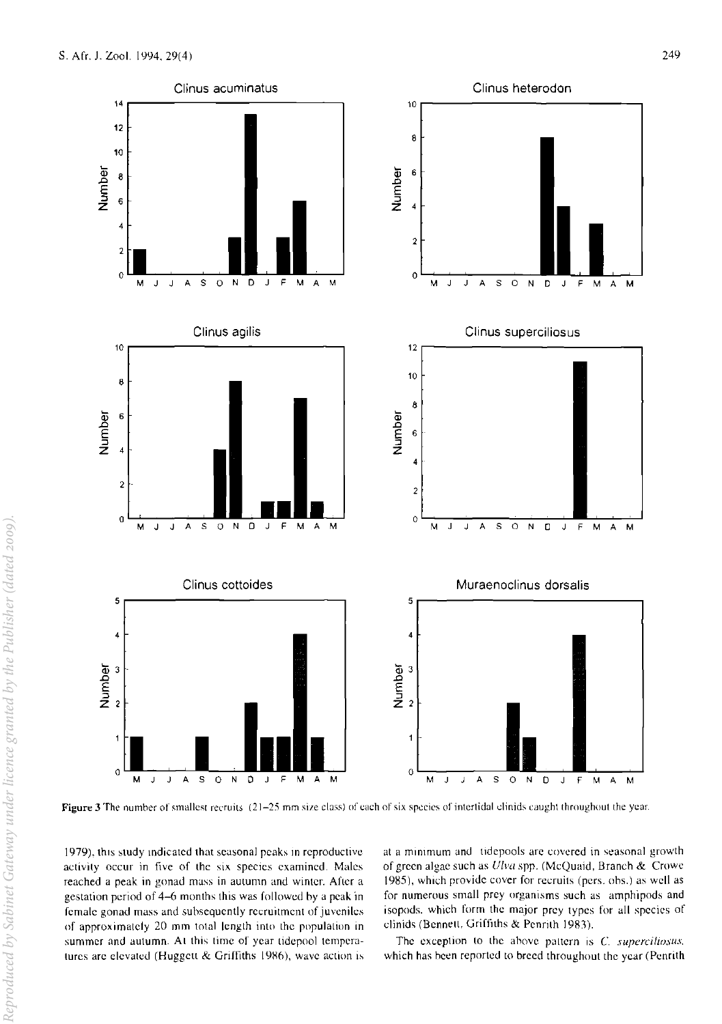

Figure 3 The number of smallest recruits (21-25 mm size class) of each of six species of intertidal clinids caught throughout the year.

1979), this study indicated that seasonal peaks in reproductive activity occur in five of the six species examined. Males reached a peak in gonad mass in autumn and winter. Aflcr a gestation period of 4-6 months this was followed hy a peak in female gonad mass and subsequently recruitment of juveniles of approximatety 20 mm total length into the population in summer and autumn. At this time of year tidepool temperatures are elevated (Huggett & Griffiths 1986), wave action is at a minimum and tidepools are covered in seasonal growth of green algae such as Ulva spp. (McQuaid, Branch & Crowe 1985), which provide cover for recruits (pers. obs.) as well as for numerous small prey organisms such as amphipods and isopods. which form the major prey types for all species of clinids (Bennett, Griffiths & Penrith 1983).

The exception to the above pattern is C. superciliosus. which has been reported to breed throughout the year (Penrith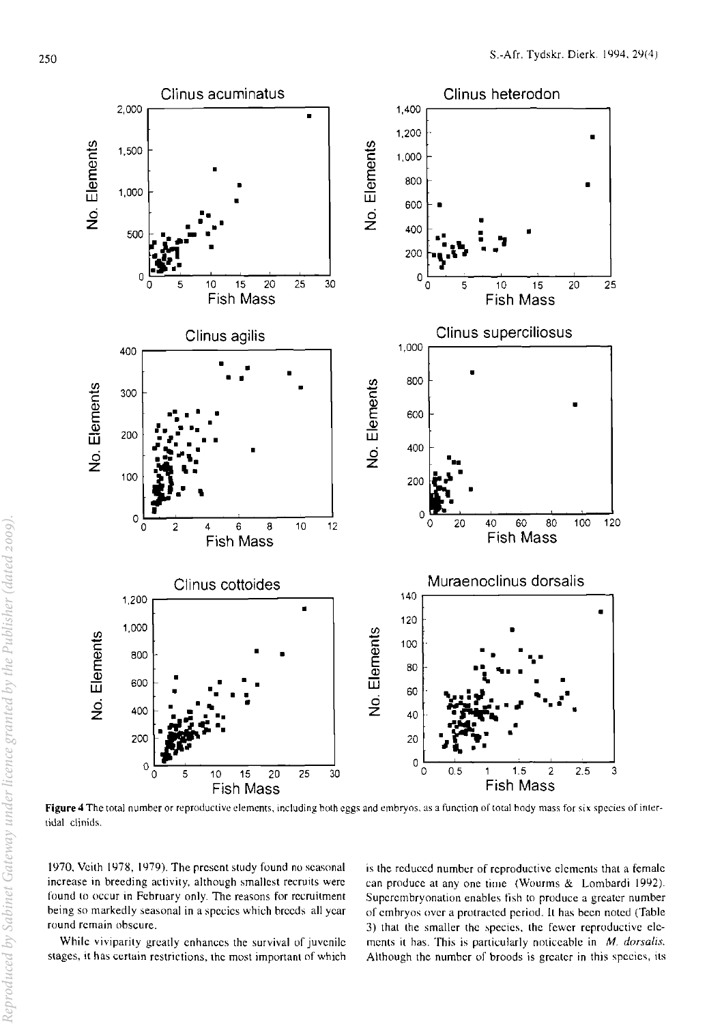

Figure 4 The total number or reproductive elements, including both eggs and embryos, as a function of total body mass for six species of intertidal clinids.

1970, Veith 1978, 1979). The present study found no seasonal increase in breeding activity, although smallest recruits were found to occur in February only. The reasons for recruitment being so markedly seasonal in a species which breeds all year round remain obscure.

While viviparity greatly enhances the survival of juvenile stages, it has certain restrictions, the most important of which is the reduced number of reproductive elements that a female can produce at any one time (Wourms & Lombardi 1992). Superembryonation enables fish to produce a greater number of embryos over a protracted period. It has been noted (Table 3) that the smaller the species, the fewer reproductive elements it has. This is particularly noticeable in  $M$ . dorsalis. Although the number of broods is greater in this species, its